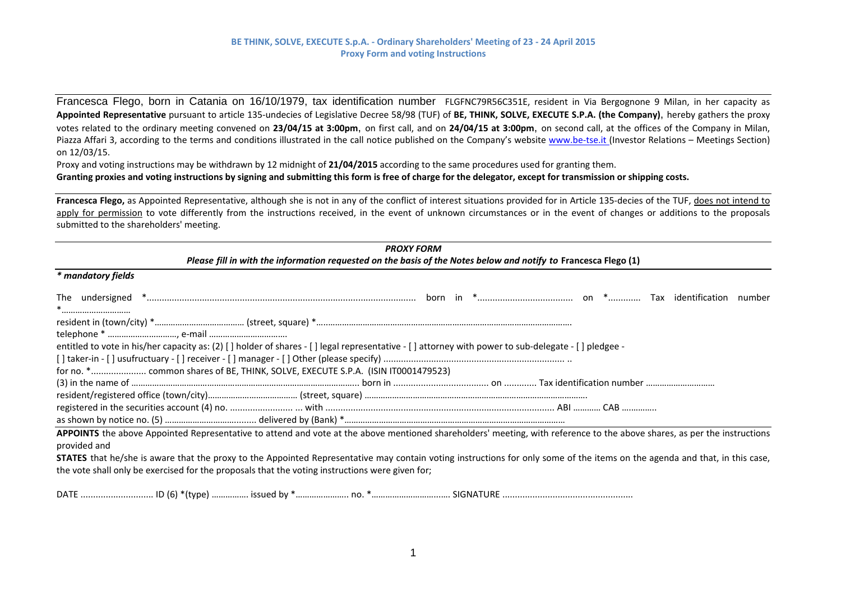Francesca Flego, born in Catania on 16/10/1979, tax identification number FLGFNC79R56C351E, resident in Via Bergognone <sup>9</sup> Milan, in her capacity as Appointed Representative pursuant to article 135-undecies of Legislative Decree 58/98 (TUF) of BE, THINK, SOLVE, EXECUTE S.P.A. (the Company), hereby gathers the proxy votes related to the ordinary meeting convened on **23/04/15 at 3:00pm**, on first call, and on **24/04/15 at 3:00pm**, on second call, at the offices of the Company in Milan, Piazza Affari 3, according to the terms and conditions illustrated in the call notice published on the Company's website www.be-tse.it (Investor Relations – Meetings Section) on 12/03/15.

Proxy and voting instructions may be withdrawn by 12 midnight of **21/04/2015** according to the same procedures used for granting them. Granting proxies and voting instructions by signing and submitting this form is free of charge for the delegator, except for transmission or shipping costs.

**Francesca Flego,** as Appointed Representative, although she is not in any of the conflict of interest situations provided for in Article 135‐decies of the TUF, does not intend to apply for permission to vote differently from the instructions received, in the event of unknown circumstances or in the event of changes or additions to the proposals submitted to the shareholders' meeting.

| <b>PROXY FORM</b>                                                                                                                                                                        |
|------------------------------------------------------------------------------------------------------------------------------------------------------------------------------------------|
| Please fill in with the information requested on the basis of the Notes below and notify to Francesca Flego (1)                                                                          |
| * mandatory fields                                                                                                                                                                       |
| *                                                                                                                                                                                        |
|                                                                                                                                                                                          |
|                                                                                                                                                                                          |
| entitled to vote in his/her capacity as: (2) [] holder of shares - [] legal representative - [] attorney with power to sub-delegate - [] pledgee -                                       |
|                                                                                                                                                                                          |
|                                                                                                                                                                                          |
|                                                                                                                                                                                          |
|                                                                                                                                                                                          |
|                                                                                                                                                                                          |
|                                                                                                                                                                                          |
| APPOINTS the above Appointed Representative to attend and vote at the above mentioned shareholders' meeting, with reference to the above shares, as per the instructions<br>provided and |
| <b>STATES</b> that he/she is aware that the proxy to the Appointed Representative may contain voting instructions for only some of the items on the agenda and that, in this case,       |
| the vote shall only be exercised for the proposals that the voting instructions were given for;                                                                                          |
|                                                                                                                                                                                          |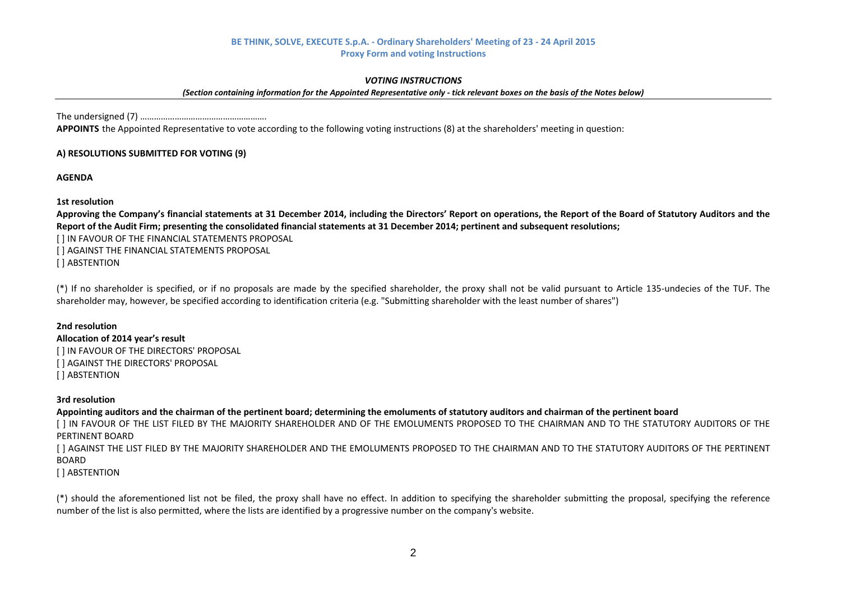#### *VOTING INSTRUCTIONS*

(Section containing information for the Appointed Representative only - tick relevant boxes on the basis of the Notes below)

The undersigned (7) ……………………………………………….

**APPOINTS** the Appointed Representative to vote according to the following voting instructions (8) at the shareholders' meeting in question:

## **A) RESOLUTIONS SUBMITTED FOR VOTING (9)**

**AGENDA**

### **1st resolution**

Approving the Company's financial statements at 31 December 2014, including the Directors' Report on operations, the Report of the Board of Statutory Auditors and the Report of the Audit Firm; presenting the consolidated financial statements at 31 December 2014; pertinent and subsequent resolutions;

[ ] IN FAVOUR OF THE FINANCIAL STATEMENTS PROPOSAL [ ] AGAINST THE FINANCIAL STATEMENTS PROPOSAL [ ] ABSTENTION

(\*) If no shareholder is specified, or if no proposals are made by the specified shareholder, the proxy shall not be valid pursuant to Article 135‐undecies of the TUF. The shareholder may, however, be specified according to identification criteria (e.g. "Submitting shareholder with the least number of shares")

### **2nd resolution**

#### **Allocation of 2014 year's result**

[ ] IN FAVOUR OF THE DIRECTORS' PROPOSAL [ ] AGAINST THE DIRECTORS' PROPOSAL [ ] ABSTENTION

### **3rd resolution**

Appointing auditors and the chairman of the pertinent board; determining the emoluments of statutory auditors and chairman of the pertinent board

[1 IN FAVOUR OF THE LIST FILED BY THE MAJORITY SHAREHOLDER AND OF THE EMOLUMENTS PROPOSED TO THE CHAIRMAN AND TO THE STATUTORY AUDITORS OF THE PERTINENT BOARD

[ ] AGAINST THE LIST FILED BY THE MAJORITY SHAREHOLDER AND THE EMOLUMENTS PROPOSED TO THE CHAIRMAN AND TO THE STATUTORY AUDITORS OF THE PERTINENT BOARD

### [ ] ABSTENTION

(\*) should the aforementioned list not be filed, the proxy shall have no effect. In addition to specifying the shareholder submitting the proposal, specifying the reference number of the list is also permitted, where the lists are identified by <sup>a</sup> progressive number on the company's website.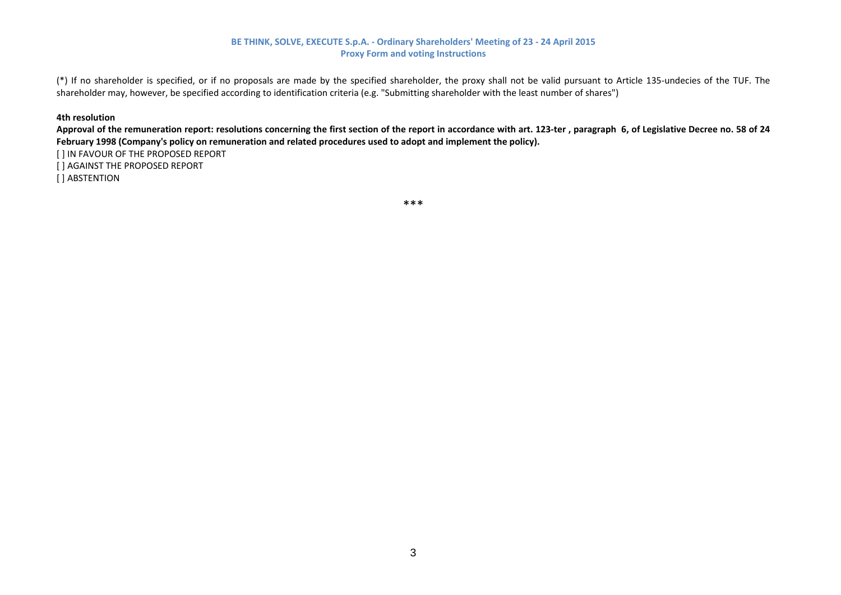(\*) If no shareholder is specified, or if no proposals are made by the specified shareholder, the proxy shall not be valid pursuant to Article 135‐undecies of the TUF. The shareholder may, however, be specified according to identification criteria (e.g. "Submitting shareholder with the least number of shares")

#### **4th resolution**

Approval of the remuneration report: resolutions concerning the first section of the report in accordance with art. 123-ter, paragraph 6, of Legislative Decree no. 58 of 24 **February 1998 (Company's policy on remuneration and related procedures used to adopt and implement the policy).** [ ] IN FAVOUR OF THE PROPOSED REPORT [ ] AGAINST THE PROPOSED REPORT [ ] ABSTENTION

\*\*\*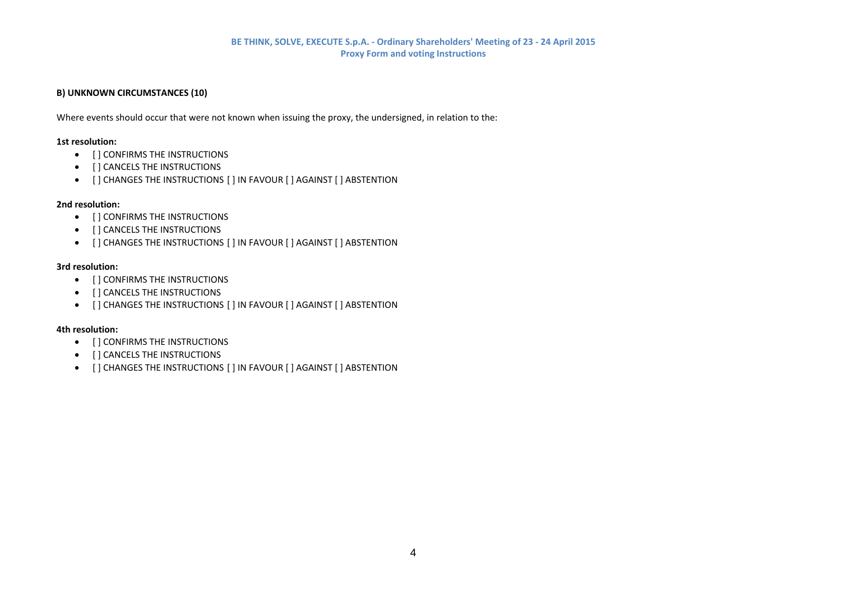## **B) UNKNOWN CIRCUMSTANCES (10)**

Where events should occur that were not known when issuing the proxy, the undersigned, in relation to the:

#### **1st resolution:**

- $\bullet$  [] CONFIRMS THE INSTRUCTIONS
- $\bullet$  [ ] CANCELS THE INSTRUCTIONS
- $\bullet$   $\quad$  [ ] CHANGES THE INSTRUCTIONS [ ] IN FAVOUR [ ] AGAINST [ ] ABSTENTION

### **2nd resolution:**

- $\bullet$  [] CONFIRMS THE INSTRUCTIONS
- $\bullet$  [ ] CANCELS THE INSTRUCTIONS
- $\bullet$   $\quad$  [ ] CHANGES THE INSTRUCTIONS [ ] IN FAVOUR [ ] AGAINST [ ] ABSTENTION

#### **3rd resolution:**

- $\bullet$  [] CONFIRMS THE INSTRUCTIONS
- $\bullet$  [ ] CANCELS THE INSTRUCTIONS
- $\bullet$  [] CHANGES THE INSTRUCTIONS [] IN FAVOUR [] AGAINST [] ABSTENTION

### **4th resolution:**

- [ ] CONFIRMS THE INSTRUCTIONS
- $\bullet$  [] CANCELS THE INSTRUCTIONS
- $\bullet$  [] CHANGES THE INSTRUCTIONS [] IN FAVOUR [] AGAINST [] ABSTENTION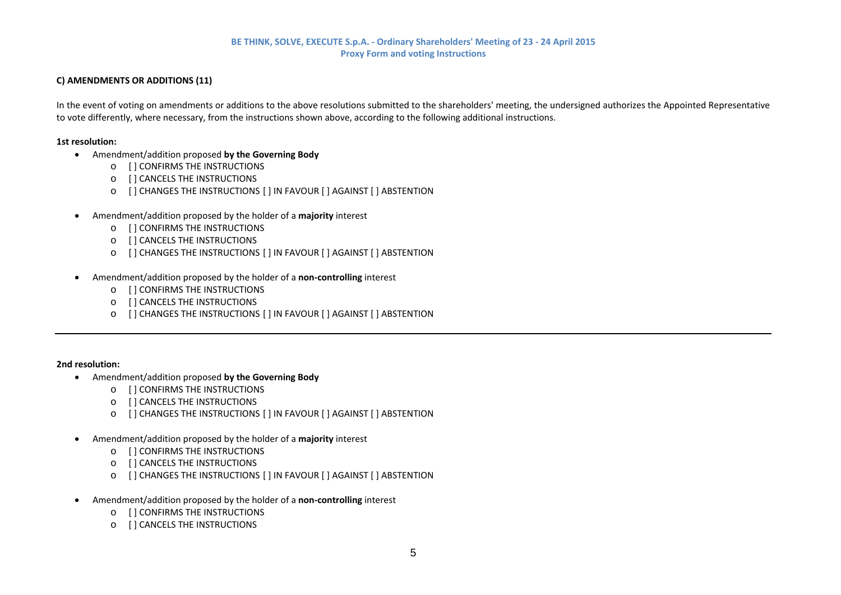# **C) AMENDMENTS OR ADDITIONS (11)**

In the event of voting on amendments or additions to the above resolutions submitted to the shareholders' meeting, the undersigned authorizes the Appointed Representative to vote differently, where necessary, from the instructions shown above, according to the following additional instructions.

#### **1st resolution:**

- Amendment/addition proposed **by the Governing Body**
	- o [ ] CONFIRMS THE INSTRUCTIONS
	- o [ ] CANCELS THE INSTRUCTIONS
	- $\circ$   $\,$  [ ] CHANGES THE INSTRUCTIONS [ ] IN FAVOUR [ ] AGAINST [ ] ABSTENTION
- . Amendment/addition proposed by the holder of <sup>a</sup> **majority** interest
	- o [ ] CONFIRMS THE INSTRUCTIONS
	- o [ ] CANCELS THE INSTRUCTIONS
	- $\circ$   $\,$  [ ] CHANGES THE INSTRUCTIONS [ ] IN FAVOUR [ ] AGAINST [ ] ABSTENTION
- Amendment/addition proposed by the holder of <sup>a</sup> **non‐controlling** interest
	- o [ ] CONFIRMS THE INSTRUCTIONS
	- o [ ] CANCELS THE INSTRUCTIONS
	- $\,\circ\quad$  [ ] CHANGES THE INSTRUCTIONS [ ] IN FAVOUR [ ] AGAINST [ ] ABSTENTION

### **2nd resolution:**

- Amendment/addition proposed **by the Governing Body**
	- o [ ] CONFIRMS THE INSTRUCTIONS
	- o [ ] CANCELS THE INSTRUCTIONS
	- $\circ$   $\,$  [ ] CHANGES THE INSTRUCTIONS [ ] IN FAVOUR [ ] AGAINST [ ] ABSTENTION
- $\bullet$  Amendment/addition proposed by the holder of <sup>a</sup> **majority** interest
	- o [ ] CONFIRMS THE INSTRUCTIONS
	- o [ ] CANCELS THE INSTRUCTIONS
	- $\circ$   $\,$  [ ] CHANGES THE INSTRUCTIONS [ ] IN FAVOUR [ ] AGAINST [ ] ABSTENTION
- $\bullet$  Amendment/addition proposed by the holder of <sup>a</sup> **non‐controlling** interest
	- o [ ] CONFIRMS THE INSTRUCTIONS
	- o [ ] CANCELS THE INSTRUCTIONS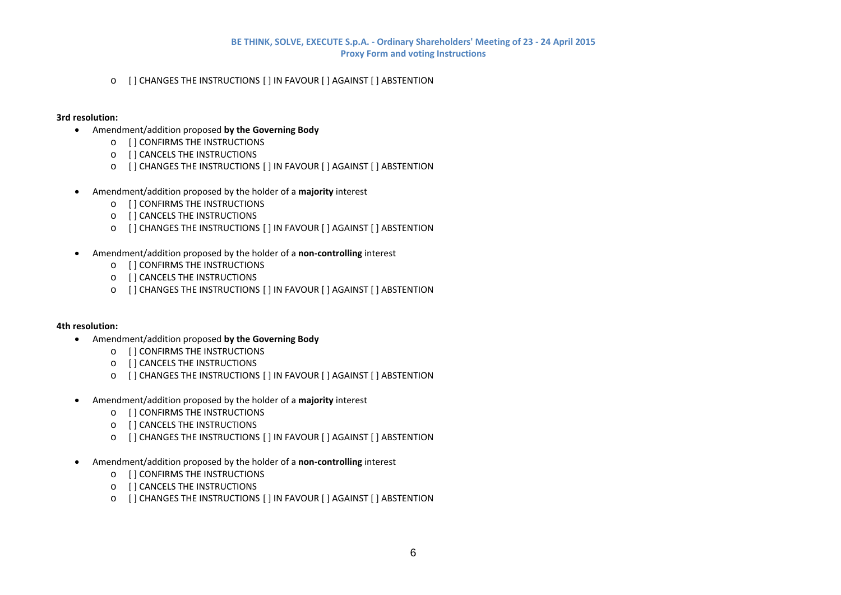$\,\circ\quad$  [ ] CHANGES THE INSTRUCTIONS [ ] IN FAVOUR [ ] AGAINST [ ] ABSTENTION

### **3rd resolution:**

- Amendment/addition proposed **by the Governing Body**
	- o [ ] CONFIRMS THE INSTRUCTIONS
	- o [ ] CANCELS THE INSTRUCTIONS
	- $\circ$   $\,$  [ ] CHANGES THE INSTRUCTIONS [ ] IN FAVOUR [ ] AGAINST [ ] ABSTENTION
- . Amendment/addition proposed by the holder of <sup>a</sup> **majority** interest
	- o [ ] CONFIRMS THE INSTRUCTIONS
	- o [ ] CANCELS THE INSTRUCTIONS
	- $\circ$   $\,$  [ ] CHANGES THE INSTRUCTIONS [ ] IN FAVOUR [ ] AGAINST [ ] ABSTENTION
- Amendment/addition proposed by the holder of <sup>a</sup> **non‐controlling** interest
	- o [ ] CONFIRMS THE INSTRUCTIONS
	- o [ ] CANCELS THE INSTRUCTIONS
	- $\,\circ\quad$  [ ] CHANGES THE INSTRUCTIONS [ ] IN FAVOUR [ ] AGAINST [ ] ABSTENTION

### **4th resolution:**

- Amendment/addition proposed **by the Governing Body**
	- o [ ] CONFIRMS THE INSTRUCTIONS
	- o [ ] CANCELS THE INSTRUCTIONS
	- $\circ$   $\,$  [ ] CHANGES THE INSTRUCTIONS [ ] IN FAVOUR [ ] AGAINST [ ] ABSTENTION
- Amendment/addition proposed by the holder of <sup>a</sup> **majority** interest
	- o [ ] CONFIRMS THE INSTRUCTIONS
	- o [ ] CANCELS THE INSTRUCTIONS
	- $\circ$   $\,$  [ ] CHANGES THE INSTRUCTIONS [ ] IN FAVOUR [ ] AGAINST [ ] ABSTENTION
- $\bullet$  Amendment/addition proposed by the holder of <sup>a</sup> **non‐controlling** interest
	- o [ ] CONFIRMS THE INSTRUCTIONS
	- o [ ] CANCELS THE INSTRUCTIONS
	- $\circ$   $\,$  [ ] CHANGES THE INSTRUCTIONS [ ] IN FAVOUR [ ] AGAINST [ ] ABSTENTION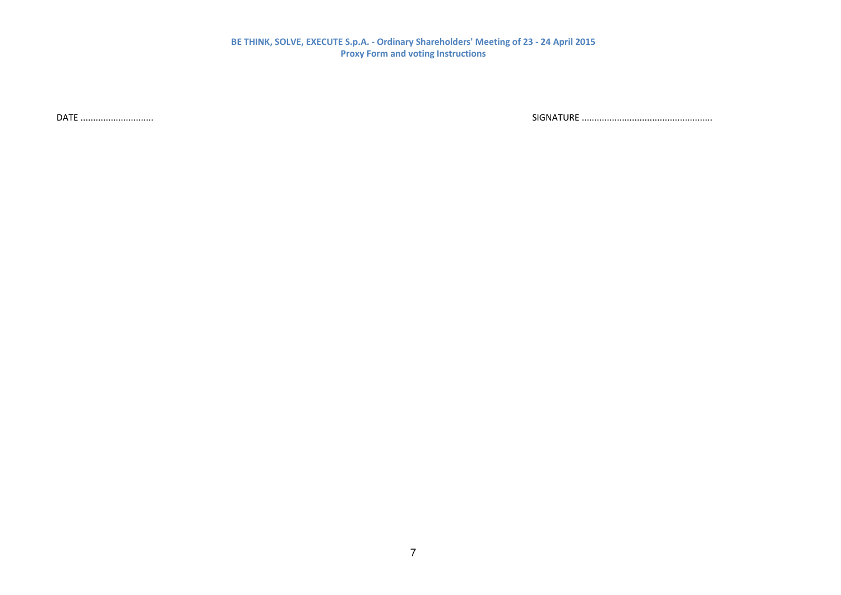DATE .................................

............................. SIGNATURE ....................................................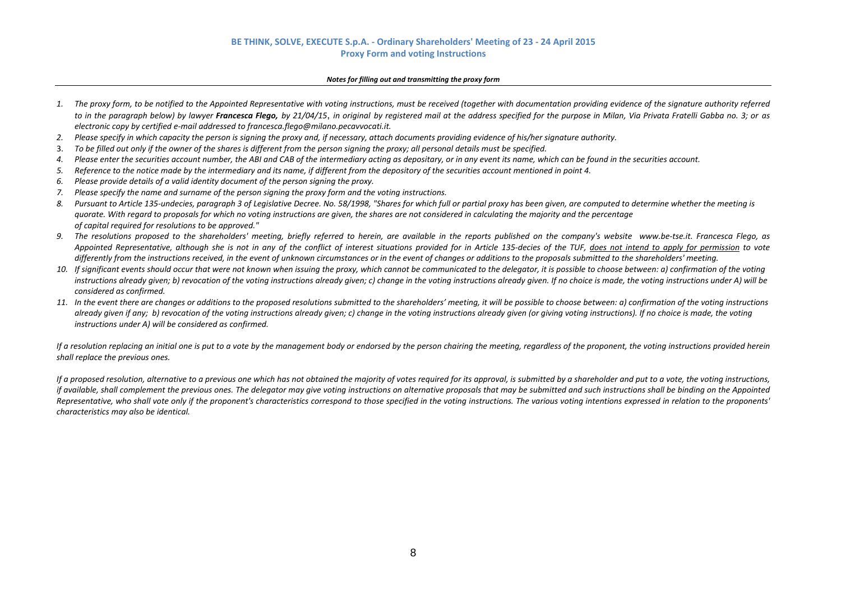#### *Notes for filling out and transmitting the proxy form*

- 1. The proxy form, to be notified to the Appointed Representative with voting instructions, must be received (together with documentation providing evidence of the signature authority referred to in the paragraph below) by lawyer **Francesca Flego,** by 21/04/15, in original by registered mail at the address specified for the purpose in Milan, Via Privata Fratelli Gabba no. 3; or as *electronic copy by certified <sup>e</sup>‐mail addressed to francesca.flego@milano.pecavvocati.it.*
- *2.*. Please specify in which capacity the person is signing the proxy and, if necessary, attach documents providing evidence of his/her signature authority.
- 3.. To be filled out only if the owner of the shares is different from the person signing the proxy; all personal details must be specified.
- *4.*. Please enter the securities account number, the ABI and CAB of the intermediary acting as depositary, or in any event its name, which can be found in the securities account.
- *5.*Reference to the notice made by the intermediary and its name, if different from the depository of the securities account mentioned in point 4.
- *6. Please provide details of <sup>a</sup> valid identity document of the person signing the proxy.*
- 7. Please specify the name and surname of the person signing the proxy form and the voting instructions.
- *8.*. Pursuant to Article 135-undecies, paragraph 3 of Legislative Decree. No. 58/1998, "Shares for which full or partial proxy has been given, are computed to determine whether the meeting is quorate. With regard to proposals for which no voting instructions are given, the shares are not considered in calculating the majority and the percentage *of capital required for resolutions to be approved."*
- 9. The resolutions proposed to the shareholders' meeting, briefly referred to herein, are available in the reports published on the company's website www.be-tse.it. Francesca Flego, as Appointed Representative, although she is not in any of the conflict of interest situations provided for in Article 135-decies of the TUF, does not intend to apply for permission to vote differently from the instructions received, in the event of unknown circumstances or in the event of changes or additions to the proposals submitted to the shareholders' meeting.
- 10. If significant events should occur that were not known when issuing the proxy, which cannot be communicated to the delegator, it is possible to choose between: a) confirmation of the voting instructions already given; b) revocation of the voting instructions already given; c) change in the voting instructions already given. If no choice is made, the voting instructions under A) will be *considered as confirmed.*
- 11. In the event there are changes or additions to the proposed resolutions submitted to the shareholders' meeting, it will be possible to choose between: a) confirmation of the voting instructions already given if any; b) revocation of the voting instructions already given; c) change in the voting instructions already given (or giving voting instructions). If no choice is made, the voting *instructions under A) will be considered as confirmed.*

If a resolution replacing an initial one is put to a vote by the management body or endorsed by the person chairing the meeting, regardless of the proponent, the voting instructions provided herein *shall replace the previous ones.*

If a proposed resolution, alternative to a previous one which has not obtained the majority of votes required for its approval, is submitted by a shareholder and put to a vote, the voting instructions, if available, shall complement the previous ones. The delegator may give voting instructions on alternative proposals that may be submitted and such instructions shall be binding on the Appointed Representative, who shall vote only if the proponent's characteristics correspond to those specified in the votina instructions. The various votina intentions expressed in relation to the proponents' *characteristics may also be identical.*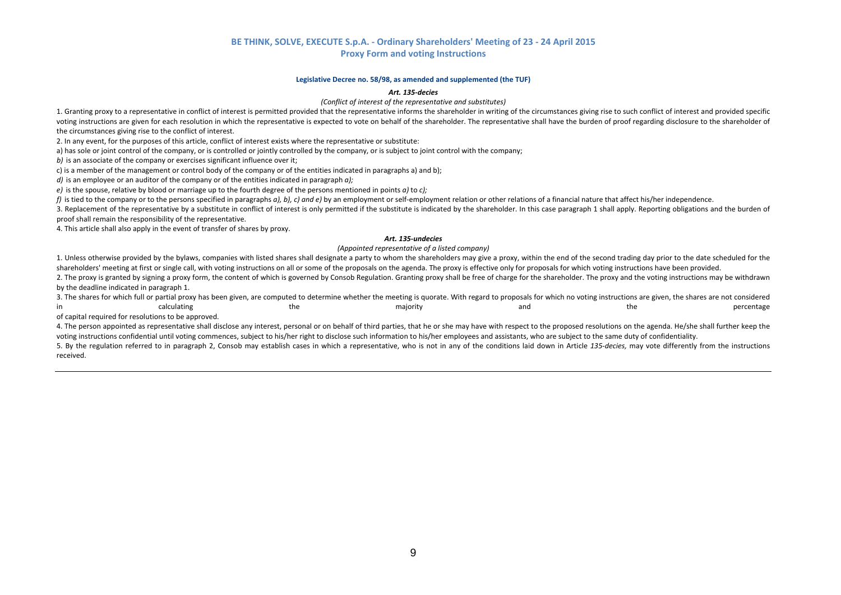#### **Legislative Decree no. 58/98, as amended and supplemented (the TUF)**

#### *Art. 135‐decies*

#### *(Conflict of interest of the representative and substitutes)*

1. Granting proxy to a representative in conflict of interest is permitted provided that the representative informs the shareholder in writing of the circumstances giving rise to such conflict of interest and provided spec voting instructions are given for each resolution in which the representative is expected to vote on behalf of the shareholder. The representative shall have the burden of proof regarding disclosure to the shareholder of the circumstances giving rise to the conflict of interest.

2. In any event, for the purposes of this article, conflict of interest exists where the representative or substitute:

a) has sole or joint control of the company, or is controlled or jointly controlled by the company, or is subject to joint control with the company;

*b)* is an associate of the company or exercises significant influence over it;

c) is <sup>a</sup> member of the management or control body of the company or of the entities indicated in paragraphs a) and b);

*d)* is an employee or an auditor of the company or of the entities indicated in paragraph *a);*

*e)* is the spouse, relative by blood or marriage up to the fourth degree of the persons mentioned in points *a)* to *c);*

f) is tied to the company or to the persons specified in paragraphs a), b), c) and e) by an employment or self-employment relation or other relations of a financial nature that affect his/her independence.

3. Replacement of the representative by <sup>a</sup> substitute in conflict of interest is only permitted if the substitute is indicated by the shareholder. In this case paragraph 1 shall apply. Reporting obligations and the burden of proof shall remain the responsibility of the representative.

4. This article shall also apply in the event of transfer of shares by proxy.

#### *Art. 135‐undecies*

#### *(Appointed representative of <sup>a</sup> listed company)*

1. Unless otherwise provided by the bylaws, companies with listed shares shall designate <sup>a</sup> party to whom the shareholders may give <sup>a</sup> proxy, within the end of the second trading day prior to the date scheduled for the shareholders' meeting at first or single call, with voting instructions on all or some of the proposals on the agenda. The proxy is effective only for proposals for which voting instructions have been provided.

2. The proxy is granted by signing <sup>a</sup> proxy form, the content of which is governed by Consob Regulation. Granting proxy shall be free of charge for the shareholder. The proxy and the voting instructions may be withdrawn by the deadline indicated in paragraph 1.

3. The shares for which full or partial proxy has been given, are computed to determine whether the meeting is quorate. With regard to proposals for which no voting instructions are given, the shares are not considered inn and the majority and and the percentage percentage percentage the percentage

of capital required for resolutions to be approved.

4. The person appointed as representative shall disclose any interest, personal or on behalf of third parties, that he or she may have with respect to the proposed resolutions on the agenda. He/she shall further keep the voting instructions confidential until voting commences, subject to his/her right to disclose such information to his/her employees and assistants, who are subject to the same duty of confidentiality.

5. By the regulation referred to in paragraph 2, Consob may establish cases in which a representative, who is not in any of the conditions laid down in Article 135-decies, may vote differently from the instructions received.